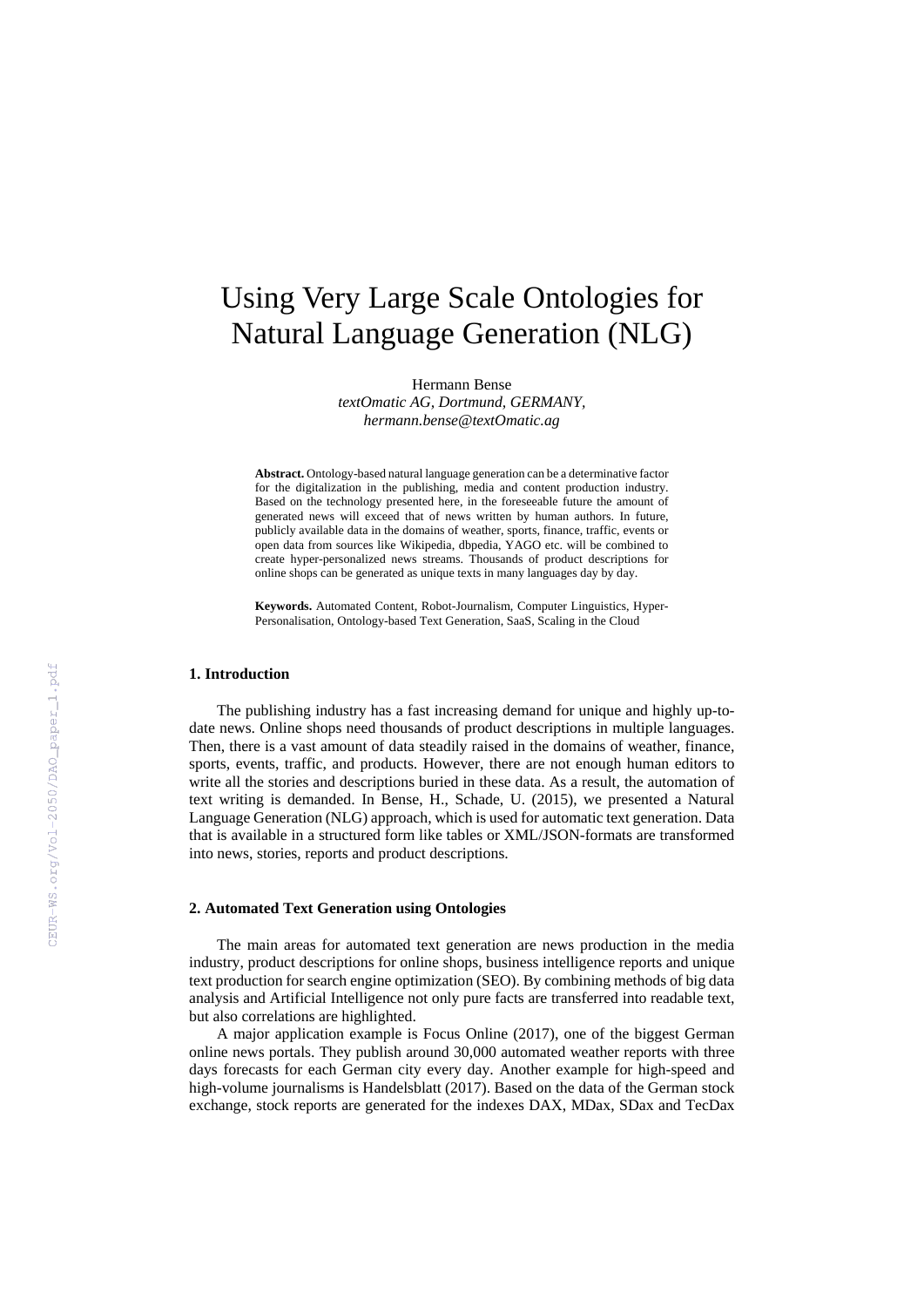# Using Very Large Scale Ontologies for Natural Language Generation (NLG)

Hermann Bense *textOmatic AG, Dortmund, GERMANY,* 

*hermann.bense@textOmatic.ag* 

**Abstract.** Ontology-based natural language generation can be a determinative factor for the digitalization in the publishing, media and content production industry. Based on the technology presented here, in the foreseeable future the amount of generated news will exceed that of news written by human authors. In future, publicly available data in the domains of weather, sports, finance, traffic, events or open data from sources like Wikipedia, dbpedia, YAGO etc. will be combined to create hyper-personalized news streams. Thousands of product descriptions for online shops can be generated as unique texts in many languages day by day.

**Keywords.** Automated Content, Robot-Journalism, Computer Linguistics, Hyper-Personalisation, Ontology-based Text Generation, SaaS, Scaling in the Cloud

#### **1. Introduction**

The publishing industry has a fast increasing demand for unique and highly up-todate news. Online shops need thousands of product descriptions in multiple languages. Then, there is a vast amount of data steadily raised in the domains of weather, finance, sports, events, traffic, and products. However, there are not enough human editors to write all the stories and descriptions buried in these data. As a result, the automation of text writing is demanded. In Bense, H., Schade, U. (2015), we presented a Natural Language Generation (NLG) approach, which is used for automatic text generation. Data that is available in a structured form like tables or XML/JSON-formats are transformed into news, stories, reports and product descriptions.

### **2. Automated Text Generation using Ontologies**

The main areas for automated text generation are news production in the media industry, product descriptions for online shops, business intelligence reports and unique text production for search engine optimization (SEO). By combining methods of big data analysis and Artificial Intelligence not only pure facts are transferred into readable text, but also correlations are highlighted.

A major application example is Focus Online (2017), one of the biggest German online news portals. They publish around 30,000 automated weather reports with three days forecasts for each German city every day. Another example for high-speed and high-volume journalisms is Handelsblatt (2017). Based on the data of the German stock exchange, stock reports are generated for the indexes DAX, MDax, SDax and TecDax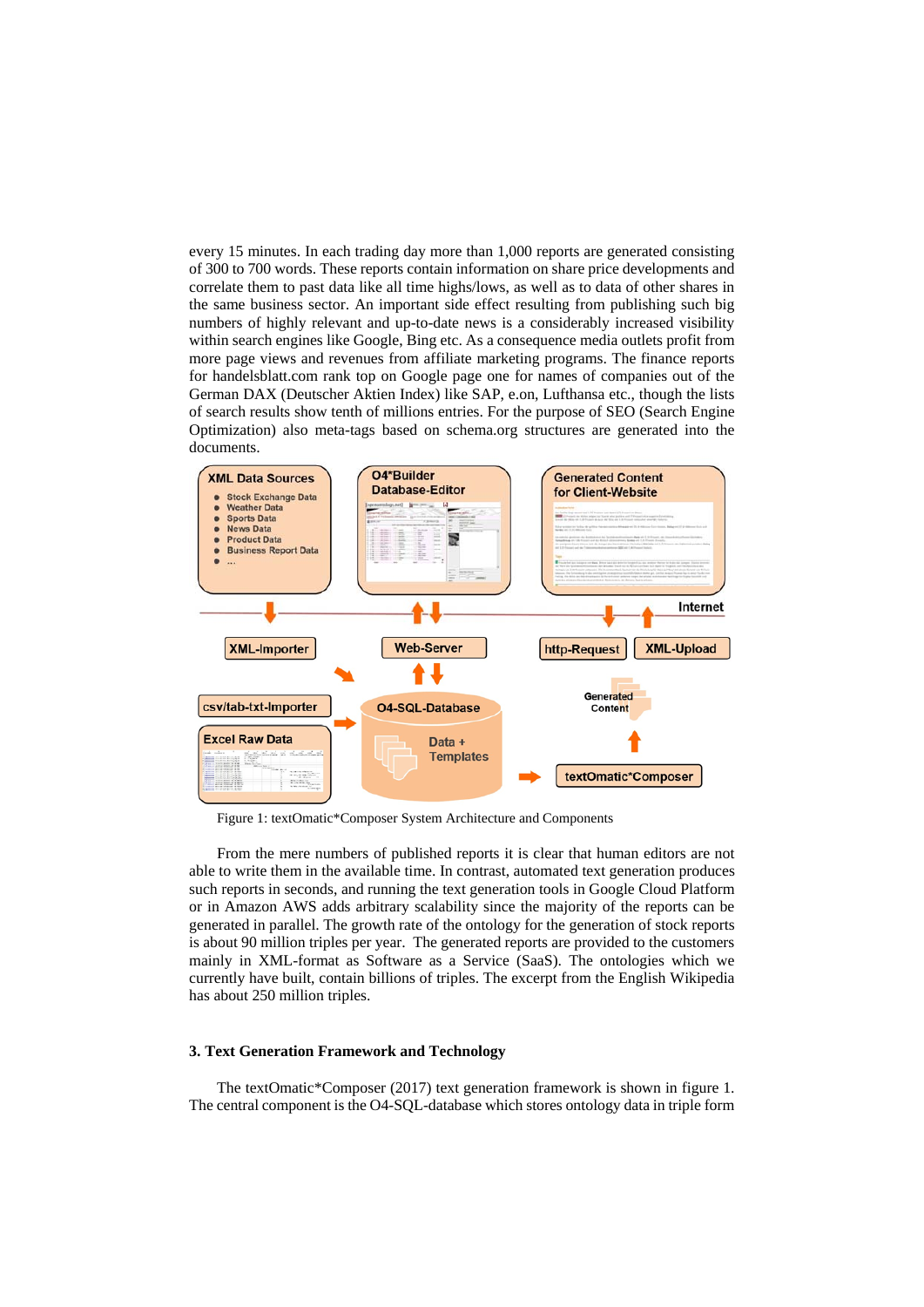every 15 minutes. In each trading day more than 1,000 reports are generated consisting of 300 to 700 words. These reports contain information on share price developments and correlate them to past data like all time highs/lows, as well as to data of other shares in the same business sector. An important side effect resulting from publishing such big numbers of highly relevant and up-to-date news is a considerably increased visibility within search engines like Google, Bing etc. As a consequence media outlets profit from more page views and revenues from affiliate marketing programs. The finance reports for handelsblatt.com rank top on Google page one for names of companies out of the German DAX (Deutscher Aktien Index) like SAP, e.on, Lufthansa etc., though the lists of search results show tenth of millions entries. For the purpose of SEO (Search Engine Optimization) also meta-tags based on schema.org structures are generated into the documents.



Figure 1: textOmatic\*Composer System Architecture and Components

From the mere numbers of published reports it is clear that human editors are not able to write them in the available time. In contrast, automated text generation produces such reports in seconds, and running the text generation tools in Google Cloud Platform or in Amazon AWS adds arbitrary scalability since the majority of the reports can be generated in parallel. The growth rate of the ontology for the generation of stock reports is about 90 million triples per year. The generated reports are provided to the customers mainly in XML-format as Software as a Service (SaaS). The ontologies which we currently have built, contain billions of triples. The excerpt from the English Wikipedia has about 250 million triples.

#### **3. Text Generation Framework and Technology**

The textOmatic\*Composer (2017) text generation framework is shown in figure 1. The central component is the O4-SQL-database which stores ontology data in triple form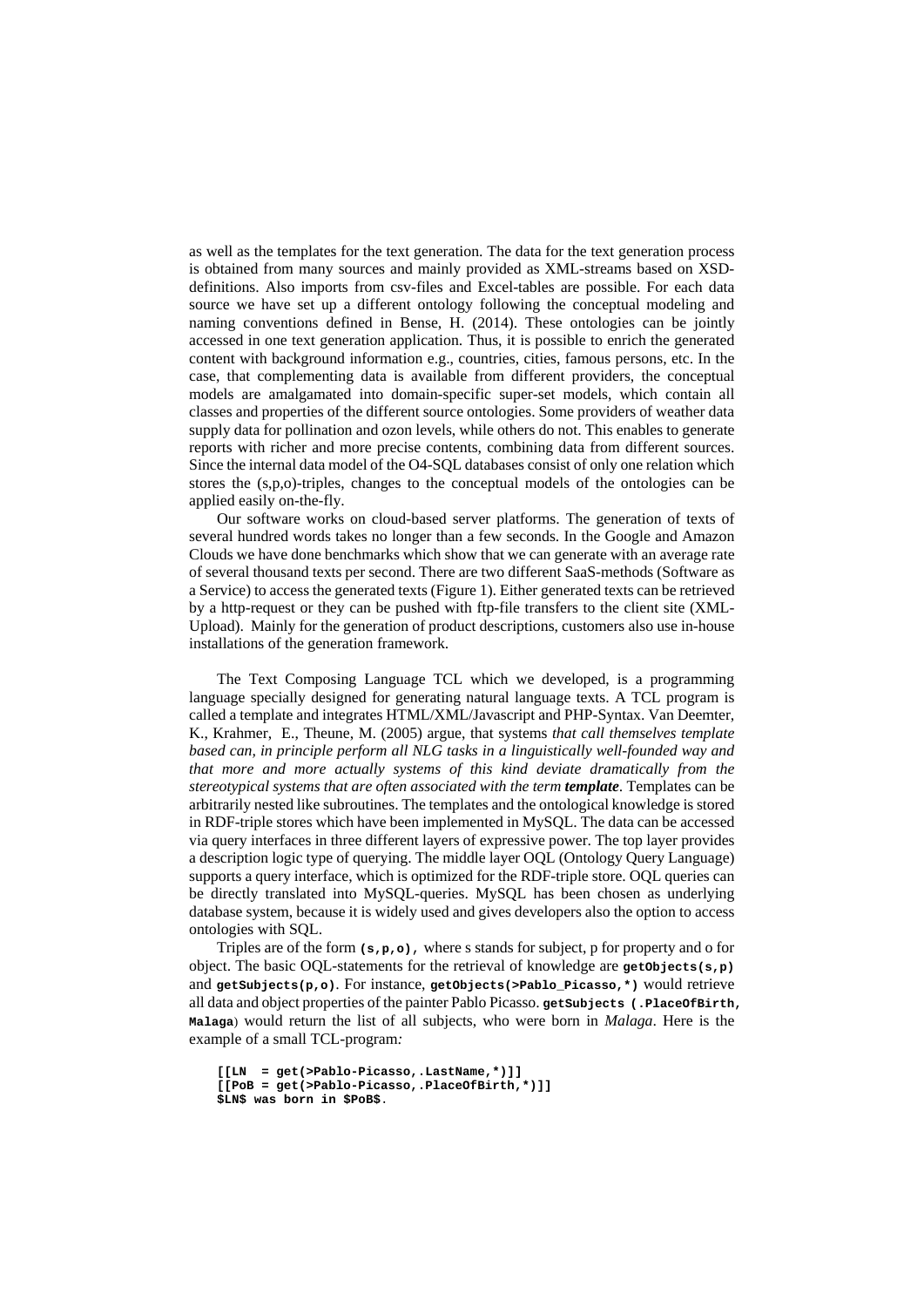as well as the templates for the text generation. The data for the text generation process is obtained from many sources and mainly provided as XML-streams based on XSDdefinitions. Also imports from csv-files and Excel-tables are possible. For each data source we have set up a different ontology following the conceptual modeling and naming conventions defined in Bense, H. (2014). These ontologies can be jointly accessed in one text generation application. Thus, it is possible to enrich the generated content with background information e.g., countries, cities, famous persons, etc. In the case, that complementing data is available from different providers, the conceptual models are amalgamated into domain-specific super-set models, which contain all classes and properties of the different source ontologies. Some providers of weather data supply data for pollination and ozon levels, while others do not. This enables to generate reports with richer and more precise contents, combining data from different sources. Since the internal data model of the O4-SQL databases consist of only one relation which stores the (s,p,o)-triples, changes to the conceptual models of the ontologies can be applied easily on-the-fly.

Our software works on cloud-based server platforms. The generation of texts of several hundred words takes no longer than a few seconds. In the Google and Amazon Clouds we have done benchmarks which show that we can generate with an average rate of several thousand texts per second. There are two different SaaS-methods (Software as a Service) to access the generated texts (Figure 1). Either generated texts can be retrieved by a http-request or they can be pushed with ftp-file transfers to the client site (XML-Upload). Mainly for the generation of product descriptions, customers also use in-house installations of the generation framework.

The Text Composing Language TCL which we developed, is a programming language specially designed for generating natural language texts. A TCL program is called a template and integrates HTML/XML/Javascript and PHP-Syntax. Van Deemter, K., Krahmer, E., Theune, M. (2005) argue, that systems *that call themselves template based can, in principle perform all NLG tasks in a linguistically well-founded way and that more and more actually systems of this kind deviate dramatically from the stereotypical systems that are often associated with the term <i>template*. Templates can be arbitrarily nested like subroutines. The templates and the ontological knowledge is stored in RDF-triple stores which have been implemented in MySQL. The data can be accessed via query interfaces in three different layers of expressive power. The top layer provides a description logic type of querying. The middle layer OQL (Ontology Query Language) supports a query interface, which is optimized for the RDF-triple store. OQL queries can be directly translated into MySQL-queries. MySQL has been chosen as underlying database system, because it is widely used and gives developers also the option to access ontologies with SQL.

Triples are of the form **(s,p,o)**, where s stands for subject, p for property and o for object. The basic OQL-statements for the retrieval of knowledge are **getObjects(s,p)** and **getSubjects(p,o)**. For instance, **getObjects(>Pablo\_Picasso,\*)** would retrieve all data and object properties of the painter Pablo Picasso. **getSubjects (.PlaceOfBirth, Malaga**) would return the list of all subjects, who were born in *Malaga*. Here is the example of a small TCL-program*:* 

```
[[LN = get(>Pablo-Picasso,.LastName,*)]] 
[[PoB = get(>Pablo-Picasso,.PlaceOfBirth,*)]] 
$LN$ was born in $PoB$.
```